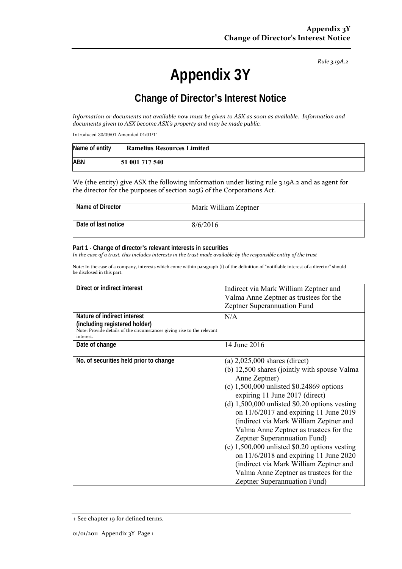*Rule 3.19A.2*

# **Appendix 3Y**

# **Change of Director's Interest Notice**

Information or documents not available now must be given to ASX as soon as available. Information and *documents given to ASX become ASX's property and may be made public.*

Introduced 30/09/01 Amended 01/01/11

| Name of entity | <b>Ramelius Resources Limited</b> |
|----------------|-----------------------------------|
| <b>ABN</b>     | 51 001 717 540                    |

We (the entity) give ASX the following information under listing rule 3.19A.2 and as agent for the director for the purposes of section 205G of the Corporations Act.

| Name of Director    | Mark William Zeptner |
|---------------------|----------------------|
| Date of last notice | 8/6/2016             |

#### **Part 1 - Change of director's relevant interests in securities**

In the case of a trust, this includes interests in the trust made available by the responsible entity of the trust

Note: In the case of a company, interests which come within paragraph (i) of the definition of "notifiable interest of a director" should be disclosed in this part.

| Direct or indirect interest                                                                                                                         | Indirect via Mark William Zeptner and<br>Valma Anne Zeptner as trustees for the<br>Zeptner Superannuation Fund                                                                                                                                                                                                                                                                                                                                                                                                                                                                                                         |
|-----------------------------------------------------------------------------------------------------------------------------------------------------|------------------------------------------------------------------------------------------------------------------------------------------------------------------------------------------------------------------------------------------------------------------------------------------------------------------------------------------------------------------------------------------------------------------------------------------------------------------------------------------------------------------------------------------------------------------------------------------------------------------------|
| Nature of indirect interest<br>(including registered holder)<br>Note: Provide details of the circumstances giving rise to the relevant<br>interest. | N/A                                                                                                                                                                                                                                                                                                                                                                                                                                                                                                                                                                                                                    |
| Date of change                                                                                                                                      | 14 June 2016                                                                                                                                                                                                                                                                                                                                                                                                                                                                                                                                                                                                           |
| No. of securities held prior to change                                                                                                              | (a) $2,025,000$ shares (direct)<br>(b) 12,500 shares (jointly with spouse Valma<br>Anne Zeptner)<br>(c) $1,500,000$ unlisted \$0.24869 options<br>expiring 11 June 2017 (direct)<br>(d) $1,500,000$ unlisted \$0.20 options vesting<br>on $11/6/2017$ and expiring 11 June 2019<br>(indirect via Mark William Zeptner and<br>Valma Anne Zeptner as trustees for the<br>Zeptner Superannuation Fund)<br>(e) $1,500,000$ unlisted \$0.20 options vesting<br>on $11/6/2018$ and expiring 11 June 2020<br>(indirect via Mark William Zeptner and<br>Valma Anne Zeptner as trustees for the<br>Zeptner Superannuation Fund) |

<sup>+</sup> See chapter 19 for defined terms.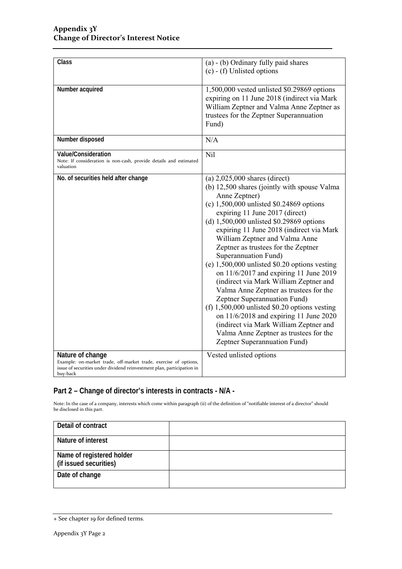| Class                                                                                                                                                                      | (a) - (b) Ordinary fully paid shares<br>$(c)$ - (f) Unlisted options                                                                                                                                                                                                                                                                                                                                                                                                                                                                                                                                                                                                                                                                                                                                              |
|----------------------------------------------------------------------------------------------------------------------------------------------------------------------------|-------------------------------------------------------------------------------------------------------------------------------------------------------------------------------------------------------------------------------------------------------------------------------------------------------------------------------------------------------------------------------------------------------------------------------------------------------------------------------------------------------------------------------------------------------------------------------------------------------------------------------------------------------------------------------------------------------------------------------------------------------------------------------------------------------------------|
| Number acquired                                                                                                                                                            | 1,500,000 vested unlisted \$0.29869 options<br>expiring on 11 June 2018 (indirect via Mark<br>William Zeptner and Valma Anne Zeptner as<br>trustees for the Zeptner Superannuation<br>Fund)                                                                                                                                                                                                                                                                                                                                                                                                                                                                                                                                                                                                                       |
| Number disposed                                                                                                                                                            | N/A                                                                                                                                                                                                                                                                                                                                                                                                                                                                                                                                                                                                                                                                                                                                                                                                               |
| Value/Consideration<br>Note: If consideration is non-cash, provide details and estimated<br>valuation                                                                      | Nil                                                                                                                                                                                                                                                                                                                                                                                                                                                                                                                                                                                                                                                                                                                                                                                                               |
| No. of securities held after change                                                                                                                                        | (a) $2,025,000$ shares (direct)<br>(b) 12,500 shares (jointly with spouse Valma<br>Anne Zeptner)<br>(c) $1,500,000$ unlisted \$0.24869 options<br>expiring 11 June 2017 (direct)<br>(d) $1,500,000$ unlisted \$0.29869 options<br>expiring 11 June 2018 (indirect via Mark<br>William Zeptner and Valma Anne<br>Zeptner as trustees for the Zeptner<br>Superannuation Fund)<br>(e) $1,500,000$ unlisted \$0.20 options vesting<br>on $11/6/2017$ and expiring 11 June 2019<br>(indirect via Mark William Zeptner and<br>Valma Anne Zeptner as trustees for the<br>Zeptner Superannuation Fund)<br>(f) $1,500,000$ unlisted \$0.20 options vesting<br>on $11/6/2018$ and expiring 11 June 2020<br>(indirect via Mark William Zeptner and<br>Valma Anne Zeptner as trustees for the<br>Zeptner Superannuation Fund) |
| Nature of change<br>Example: on-market trade, off-market trade, exercise of options,<br>issue of securities under dividend reinvestment plan, participation in<br>buy-back | Vested unlisted options                                                                                                                                                                                                                                                                                                                                                                                                                                                                                                                                                                                                                                                                                                                                                                                           |

### **Part 2 – Change of director's interests in contracts - N/A -**

Note: In the case of a company, interests which come within paragraph (ii) of the definition of "notifiable interest of a director" should be disclosed in this part.

| Detail of contract                                  |  |
|-----------------------------------------------------|--|
| Nature of interest                                  |  |
| Name of registered holder<br>(if issued securities) |  |
| Date of change                                      |  |

<sup>+</sup> See chapter 19 for defined terms.